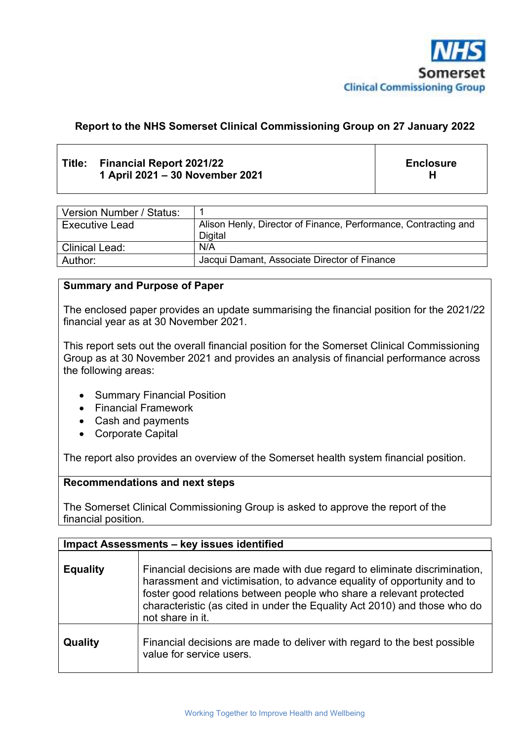

# **Report to the NHS Somerset Clinical Commissioning Group on 27 January 2022**

### **Title: Financial Report 2021/22 1 April 2021 – 30 November 2021**

**Enclosure H** 

| Version Number / Status: |                                                                 |
|--------------------------|-----------------------------------------------------------------|
| <b>Executive Lead</b>    | Alison Henly, Director of Finance, Performance, Contracting and |
|                          | Digital                                                         |
| <b>Clinical Lead:</b>    | N/A                                                             |
| Author:                  | Jacqui Damant, Associate Director of Finance                    |

#### **Summary and Purpose of Paper**

The enclosed paper provides an update summarising the financial position for the 2021/22 financial year as at 30 November 2021.

This report sets out the overall financial position for the Somerset Clinical Commissioning Group as at 30 November 2021 and provides an analysis of financial performance across the following areas:

- Summary Financial Position
- Financial Framework
- Cash and payments
- Corporate Capital

The report also provides an overview of the Somerset health system financial position.

#### **Recommendations and next steps**

The Somerset Clinical Commissioning Group is asked to approve the report of the financial position.

| Impact Assessments - key issues identified |                                                                                                                                                                                                                                                                                                                              |  |  |  |
|--------------------------------------------|------------------------------------------------------------------------------------------------------------------------------------------------------------------------------------------------------------------------------------------------------------------------------------------------------------------------------|--|--|--|
| <b>Equality</b>                            | Financial decisions are made with due regard to eliminate discrimination,<br>harassment and victimisation, to advance equality of opportunity and to<br>foster good relations between people who share a relevant protected<br>characteristic (as cited in under the Equality Act 2010) and those who do<br>not share in it. |  |  |  |
| Quality                                    | Financial decisions are made to deliver with regard to the best possible<br>value for service users.                                                                                                                                                                                                                         |  |  |  |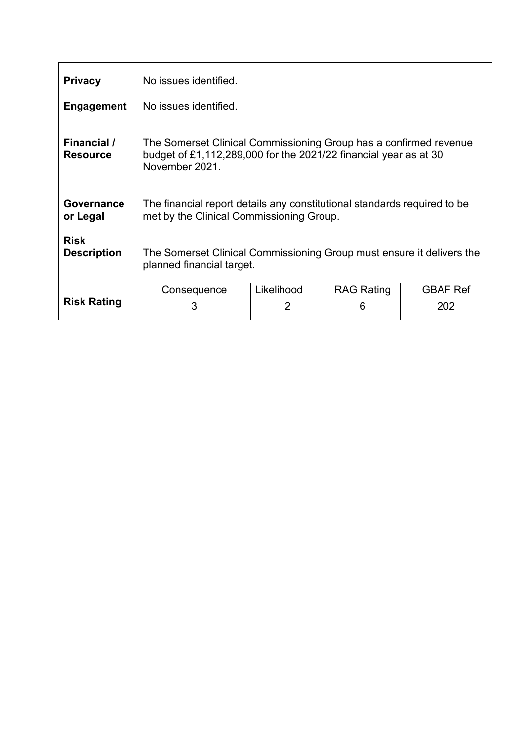| <b>Privacy</b>                        | No issues identified.                                                                                                                                   |            |                   |                 |
|---------------------------------------|---------------------------------------------------------------------------------------------------------------------------------------------------------|------------|-------------------|-----------------|
| <b>Engagement</b>                     | No issues identified.                                                                                                                                   |            |                   |                 |
| <b>Financial</b> /<br><b>Resource</b> | The Somerset Clinical Commissioning Group has a confirmed revenue<br>budget of £1,112,289,000 for the 2021/22 financial year as at 30<br>November 2021. |            |                   |                 |
| Governance<br>or Legal                | The financial report details any constitutional standards required to be<br>met by the Clinical Commissioning Group.                                    |            |                   |                 |
| <b>Risk</b><br><b>Description</b>     | The Somerset Clinical Commissioning Group must ensure it delivers the<br>planned financial target.                                                      |            |                   |                 |
|                                       | Consequence                                                                                                                                             | Likelihood | <b>RAG Rating</b> | <b>GBAF Ref</b> |
| <b>Risk Rating</b>                    | 3                                                                                                                                                       | 2          | 6                 | 202             |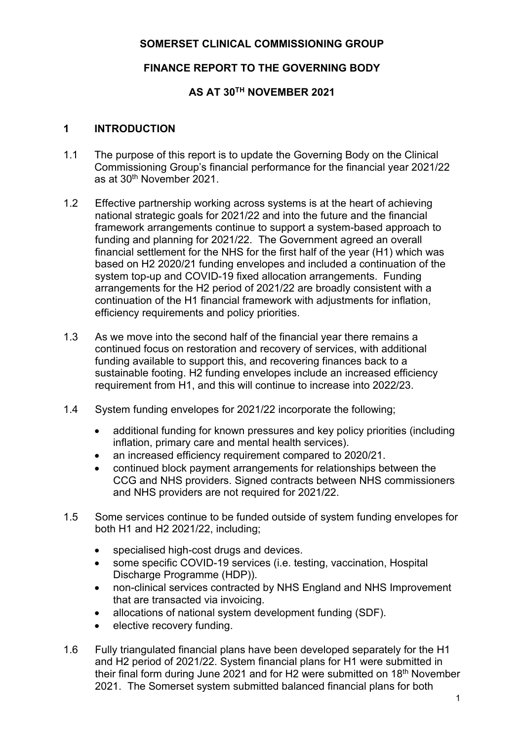# **SOMERSET CLINICAL COMMISSIONING GROUP**

# **FINANCE REPORT TO THE GOVERNING BODY**

# **AS AT 30TH NOVEMBER 2021**

### **1 INTRODUCTION**

- 1.1 The purpose of this report is to update the Governing Body on the Clinical Commissioning Group's financial performance for the financial year 2021/22 as at 30th November 2021.
- 1.2 Effective partnership working across systems is at the heart of achieving national strategic goals for 2021/22 and into the future and the financial framework arrangements continue to support a system-based approach to funding and planning for 2021/22. The Government agreed an overall financial settlement for the NHS for the first half of the year (H1) which was based on H2 2020/21 funding envelopes and included a continuation of the system top-up and COVID-19 fixed allocation arrangements. Funding arrangements for the H2 period of 2021/22 are broadly consistent with a continuation of the H1 financial framework with adjustments for inflation, efficiency requirements and policy priorities.
- 1.3 As we move into the second half of the financial year there remains a continued focus on restoration and recovery of services, with additional funding available to support this, and recovering finances back to a sustainable footing. H2 funding envelopes include an increased efficiency requirement from H1, and this will continue to increase into 2022/23.
- 1.4 System funding envelopes for 2021/22 incorporate the following;
	- additional funding for known pressures and key policy priorities (including inflation, primary care and mental health services).
	- an increased efficiency requirement compared to 2020/21.
	- continued block payment arrangements for relationships between the CCG and NHS providers. Signed contracts between NHS commissioners and NHS providers are not required for 2021/22.
- 1.5 Some services continue to be funded outside of system funding envelopes for both H1 and H2 2021/22, including;
	- specialised high-cost drugs and devices.
	- some specific COVID-19 services (i.e. testing, vaccination, Hospital Discharge Programme (HDP)).
	- non-clinical services contracted by NHS England and NHS Improvement that are transacted via invoicing.
	- allocations of national system development funding (SDF).
	- elective recovery funding.
- 1.6 Fully triangulated financial plans have been developed separately for the H1 and H2 period of 2021/22. System financial plans for H1 were submitted in their final form during June 2021 and for H2 were submitted on 18th November 2021. The Somerset system submitted balanced financial plans for both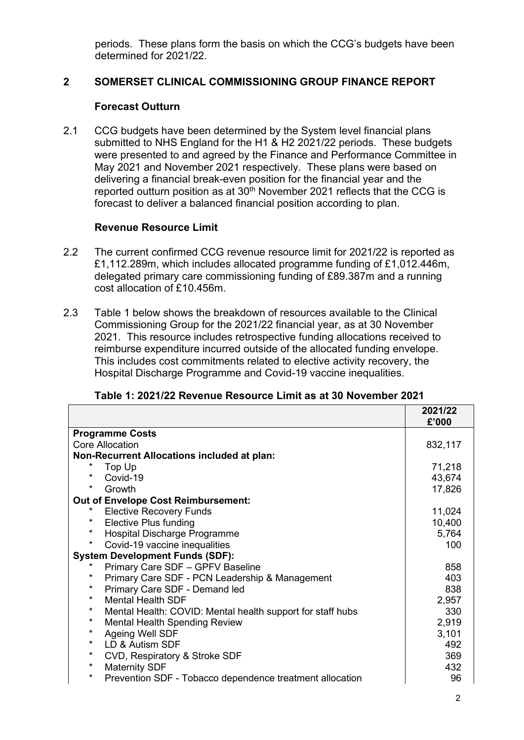periods. These plans form the basis on which the CCG's budgets have been determined for 2021/22.

# **2 SOMERSET CLINICAL COMMISSIONING GROUP FINANCE REPORT**

### **Forecast Outturn**

2.1 CCG budgets have been determined by the System level financial plans submitted to NHS England for the H1 & H2 2021/22 periods. These budgets were presented to and agreed by the Finance and Performance Committee in May 2021 and November 2021 respectively. These plans were based on delivering a financial break-even position for the financial year and the reported outturn position as at  $30<sup>th</sup>$  November 2021 reflects that the CCG is forecast to deliver a balanced financial position according to plan.

#### **Revenue Resource Limit**

- 2.2 The current confirmed CCG revenue resource limit for 2021/22 is reported as £1,112.289m, which includes allocated programme funding of £1,012.446m, delegated primary care commissioning funding of £89.387m and a running cost allocation of £10.456m.
- 2.3 Table 1 below shows the breakdown of resources available to the Clinical Commissioning Group for the 2021/22 financial year, as at 30 November 2021. This resource includes retrospective funding allocations received to reimburse expenditure incurred outside of the allocated funding envelope. This includes cost commitments related to elective activity recovery, the Hospital Discharge Programme and Covid-19 vaccine inequalities.

|                                                                       | 2021/22<br>£'000 |
|-----------------------------------------------------------------------|------------------|
| <b>Programme Costs</b>                                                |                  |
| <b>Core Allocation</b>                                                | 832,117          |
| <b>Non-Recurrent Allocations included at plan:</b>                    |                  |
| *<br>Top Up                                                           | 71,218           |
| *<br>Covid-19                                                         | 43,674           |
| $\star$<br>Growth                                                     | 17,826           |
| <b>Out of Envelope Cost Reimbursement:</b>                            |                  |
| *<br><b>Elective Recovery Funds</b>                                   | 11,024           |
| $\star$<br><b>Elective Plus funding</b>                               | 10,400           |
| $\star$<br>Hospital Discharge Programme                               | 5,764            |
| $\star$<br>Covid-19 vaccine inequalities                              | 100              |
| <b>System Development Funds (SDF):</b>                                |                  |
| Primary Care SDF - GPFV Baseline<br>*                                 | 858              |
| $\star$<br>Primary Care SDF - PCN Leadership & Management             | 403              |
| $^\star$<br>Primary Care SDF - Demand led                             | 838              |
| $\star$<br><b>Mental Health SDF</b>                                   | 2,957            |
| $\star$<br>Mental Health: COVID: Mental health support for staff hubs | 330              |
| $\star$<br><b>Mental Health Spending Review</b>                       | 2,919            |
| $\star$<br>Ageing Well SDF                                            | 3,101            |
| $\star$<br>LD & Autism SDF                                            | 492              |
| $\star$<br>CVD, Respiratory & Stroke SDF                              | 369              |
| $\star$<br><b>Maternity SDF</b>                                       | 432              |
| *<br>Prevention SDF - Tobacco dependence treatment allocation         | 96               |

#### **Table 1: 2021/22 Revenue Resource Limit as at 30 November 2021**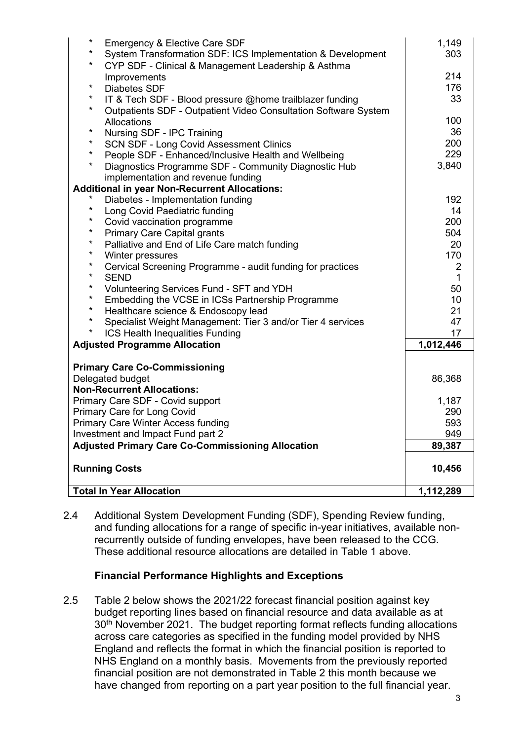| $^\star$                                                                       | <b>Emergency &amp; Elective Care SDF</b>                               | 1,149          |
|--------------------------------------------------------------------------------|------------------------------------------------------------------------|----------------|
| $^\star$                                                                       | System Transformation SDF: ICS Implementation & Development            | 303            |
| $^\star$                                                                       | CYP SDF - Clinical & Management Leadership & Asthma                    |                |
|                                                                                | Improvements                                                           | 214            |
| $\star$                                                                        | <b>Diabetes SDF</b>                                                    | 176            |
| $\star$                                                                        | IT & Tech SDF - Blood pressure @home trailblazer funding               | 33             |
| $\star$                                                                        | Outpatients SDF - Outpatient Video Consultation Software System        |                |
|                                                                                | Allocations                                                            | 100            |
| $\star$                                                                        | Nursing SDF - IPC Training                                             | 36             |
| $\star$                                                                        | <b>SCN SDF - Long Covid Assessment Clinics</b>                         | 200            |
| $\star$                                                                        | People SDF - Enhanced/Inclusive Health and Wellbeing                   | 229            |
| $^\star$                                                                       | Diagnostics Programme SDF - Community Diagnostic Hub                   | 3,840          |
|                                                                                | implementation and revenue funding                                     |                |
|                                                                                | <b>Additional in year Non-Recurrent Allocations:</b>                   |                |
| $\star$                                                                        | Diabetes - Implementation funding                                      | 192            |
| $\star$                                                                        | Long Covid Paediatric funding                                          | 14             |
| $\star$                                                                        | Covid vaccination programme                                            | 200            |
| $\star$                                                                        | <b>Primary Care Capital grants</b>                                     | 504            |
| $\star$                                                                        | Palliative and End of Life Care match funding                          | 20             |
| $\star$                                                                        | Winter pressures                                                       | 170            |
| $^\star$                                                                       | Cervical Screening Programme - audit funding for practices             | $\overline{2}$ |
| $\star$                                                                        | <b>SEND</b>                                                            | $\mathbf 1$    |
| $\star$                                                                        | Volunteering Services Fund - SFT and YDH                               | 50             |
| $\star$                                                                        | Embedding the VCSE in ICSs Partnership Programme                       | 10             |
| $\star$                                                                        | Healthcare science & Endoscopy lead                                    | 21             |
| $\star$                                                                        | Specialist Weight Management: Tier 3 and/or Tier 4 services            | 47             |
| $^\star$                                                                       | <b>ICS Health Inequalities Funding</b>                                 | 17             |
|                                                                                | <b>Adjusted Programme Allocation</b>                                   | 1,012,446      |
|                                                                                |                                                                        |                |
|                                                                                | <b>Primary Care Co-Commissioning</b>                                   |                |
|                                                                                | Delegated budget                                                       | 86,368         |
|                                                                                | <b>Non-Recurrent Allocations:</b>                                      |                |
|                                                                                | Primary Care SDF - Covid support<br><b>Primary Care for Long Covid</b> | 1,187          |
|                                                                                | 290                                                                    |                |
| <b>Primary Care Winter Access funding</b><br>Investment and Impact Fund part 2 |                                                                        | 593            |
|                                                                                | 949                                                                    |                |
| <b>Adjusted Primary Care Co-Commissioning Allocation</b>                       | 89,387                                                                 |                |
| <b>Running Costs</b>                                                           | 10,456                                                                 |                |
|                                                                                |                                                                        |                |
|                                                                                | <b>Total In Year Allocation</b>                                        | 1,112,289      |

2.4 Additional System Development Funding (SDF), Spending Review funding, and funding allocations for a range of specific in-year initiatives, available nonrecurrently outside of funding envelopes, have been released to the CCG. These additional resource allocations are detailed in Table 1 above.

# **Financial Performance Highlights and Exceptions**

2.5 Table 2 below shows the 2021/22 forecast financial position against key budget reporting lines based on financial resource and data available as at 30<sup>th</sup> November 2021. The budget reporting format reflects funding allocations across care categories as specified in the funding model provided by NHS England and reflects the format in which the financial position is reported to NHS England on a monthly basis. Movements from the previously reported financial position are not demonstrated in Table 2 this month because we have changed from reporting on a part year position to the full financial year.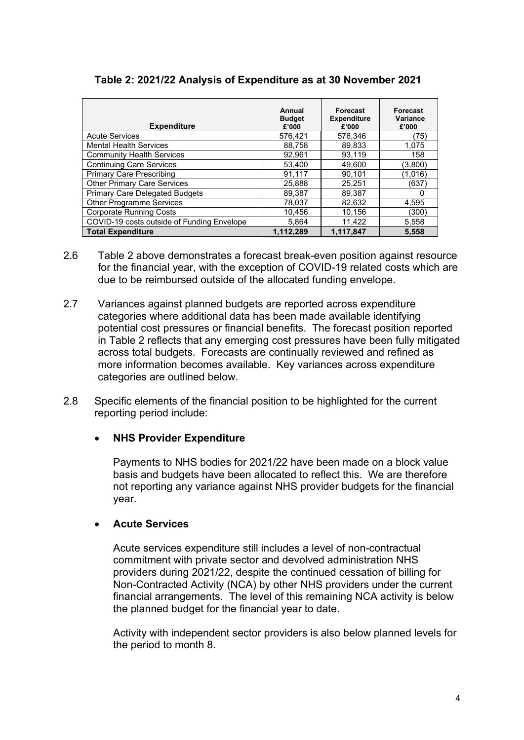| <b>Expenditure</b>                         | Annual<br><b>Budget</b><br>£'000 | Forecast<br><b>Expenditure</b><br>£'000 | Forecast<br>Variance<br>£'000 |
|--------------------------------------------|----------------------------------|-----------------------------------------|-------------------------------|
| <b>Acute Services</b>                      | 576.421                          | 576.346                                 | (75)                          |
| <b>Mental Health Services</b>              | 88.758                           | 89.833                                  | 1.075                         |
| <b>Community Health Services</b>           | 92.961                           | 93.119                                  | 158                           |
| <b>Continuing Care Services</b>            | 53.400                           | 49.600                                  | (3.800)                       |
| <b>Primary Care Prescribing</b>            | 91.117                           | 90.101                                  | (1.016)                       |
| <b>Other Primary Care Services</b>         | 25.888                           | 25.251                                  | (637                          |
| <b>Primary Care Delegated Budgets</b>      | 89,387                           | 89.387                                  |                               |
| <b>Other Programme Services</b>            | 78,037                           | 82,632                                  | 4,595                         |
| <b>Corporate Running Costs</b>             | 10,456                           | 10.156                                  | (300)                         |
| COVID-19 costs outside of Funding Envelope | 5,864                            | 11,422                                  | 5,558                         |
| <b>Total Expenditure</b>                   | 1,112,289                        | 1,117,847                               | 5,558                         |

# **Table 2: 2021/22 Analysis of Expenditure as at 30 November 2021**

- 2.6 Table 2 above demonstrates a forecast break-even position against resource for the financial year, with the exception of COVID-19 related costs which are due to be reimbursed outside of the allocated funding envelope.
- 2.7 Variances against planned budgets are reported across expenditure categories where additional data has been made available identifying potential cost pressures or financial benefits. The forecast position reported in Table 2 reflects that any emerging cost pressures have been fully mitigated across total budgets. Forecasts are continually reviewed and refined as more information becomes available. Key variances across expenditure categories are outlined below.
- 2.8 Specific elements of the financial position to be highlighted for the current reporting period include:

#### **NHS Provider Expenditure**

Payments to NHS bodies for 2021/22 have been made on a block value basis and budgets have been allocated to reflect this. We are therefore not reporting any variance against NHS provider budgets for the financial year.

#### **Acute Services**

Acute services expenditure still includes a level of non-contractual commitment with private sector and devolved administration NHS providers during 2021/22, despite the continued cessation of billing for Non-Contracted Activity (NCA) by other NHS providers under the current financial arrangements. The level of this remaining NCA activity is below the planned budget for the financial year to date.

Activity with independent sector providers is also below planned levels for the period to month 8.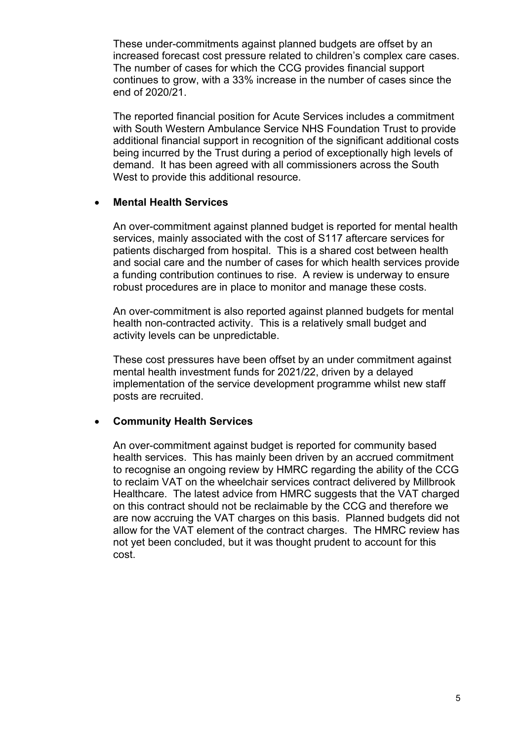These under-commitments against planned budgets are offset by an increased forecast cost pressure related to children's complex care cases. The number of cases for which the CCG provides financial support continues to grow, with a 33% increase in the number of cases since the end of 2020/21.

The reported financial position for Acute Services includes a commitment with South Western Ambulance Service NHS Foundation Trust to provide additional financial support in recognition of the significant additional costs being incurred by the Trust during a period of exceptionally high levels of demand. It has been agreed with all commissioners across the South West to provide this additional resource.

#### **Mental Health Services**

An over-commitment against planned budget is reported for mental health services, mainly associated with the cost of S117 aftercare services for patients discharged from hospital. This is a shared cost between health and social care and the number of cases for which health services provide a funding contribution continues to rise. A review is underway to ensure robust procedures are in place to monitor and manage these costs.

An over-commitment is also reported against planned budgets for mental health non-contracted activity. This is a relatively small budget and activity levels can be unpredictable.

These cost pressures have been offset by an under commitment against mental health investment funds for 2021/22, driven by a delayed implementation of the service development programme whilst new staff posts are recruited.

#### **Community Health Services**

An over-commitment against budget is reported for community based health services. This has mainly been driven by an accrued commitment to recognise an ongoing review by HMRC regarding the ability of the CCG to reclaim VAT on the wheelchair services contract delivered by Millbrook Healthcare. The latest advice from HMRC suggests that the VAT charged on this contract should not be reclaimable by the CCG and therefore we are now accruing the VAT charges on this basis. Planned budgets did not allow for the VAT element of the contract charges. The HMRC review has not yet been concluded, but it was thought prudent to account for this cost.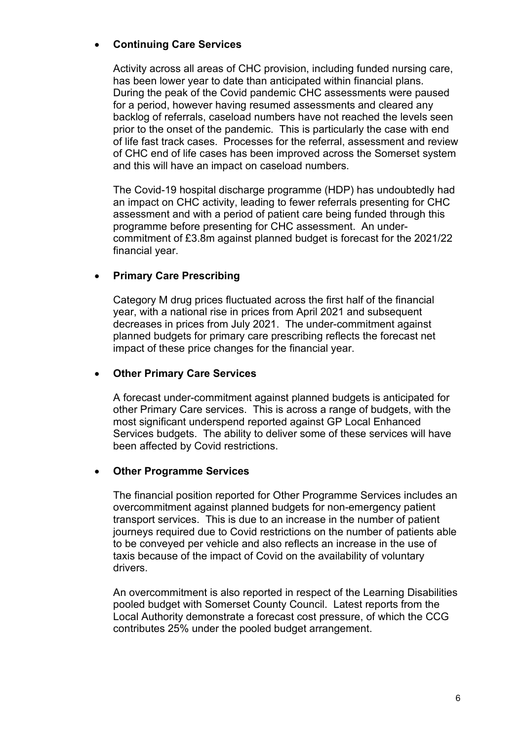# **Continuing Care Services**

Activity across all areas of CHC provision, including funded nursing care, has been lower year to date than anticipated within financial plans. During the peak of the Covid pandemic CHC assessments were paused for a period, however having resumed assessments and cleared any backlog of referrals, caseload numbers have not reached the levels seen prior to the onset of the pandemic. This is particularly the case with end of life fast track cases. Processes for the referral, assessment and review of CHC end of life cases has been improved across the Somerset system and this will have an impact on caseload numbers.

The Covid-19 hospital discharge programme (HDP) has undoubtedly had an impact on CHC activity, leading to fewer referrals presenting for CHC assessment and with a period of patient care being funded through this programme before presenting for CHC assessment. An undercommitment of £3.8m against planned budget is forecast for the 2021/22 financial year.

# **Primary Care Prescribing**

Category M drug prices fluctuated across the first half of the financial year, with a national rise in prices from April 2021 and subsequent decreases in prices from July 2021. The under-commitment against planned budgets for primary care prescribing reflects the forecast net impact of these price changes for the financial year.

### **Other Primary Care Services**

A forecast under-commitment against planned budgets is anticipated for other Primary Care services. This is across a range of budgets, with the most significant underspend reported against GP Local Enhanced Services budgets. The ability to deliver some of these services will have been affected by Covid restrictions.

# **Other Programme Services**

The financial position reported for Other Programme Services includes an overcommitment against planned budgets for non-emergency patient transport services. This is due to an increase in the number of patient journeys required due to Covid restrictions on the number of patients able to be conveyed per vehicle and also reflects an increase in the use of taxis because of the impact of Covid on the availability of voluntary drivers.

An overcommitment is also reported in respect of the Learning Disabilities pooled budget with Somerset County Council. Latest reports from the Local Authority demonstrate a forecast cost pressure, of which the CCG contributes 25% under the pooled budget arrangement.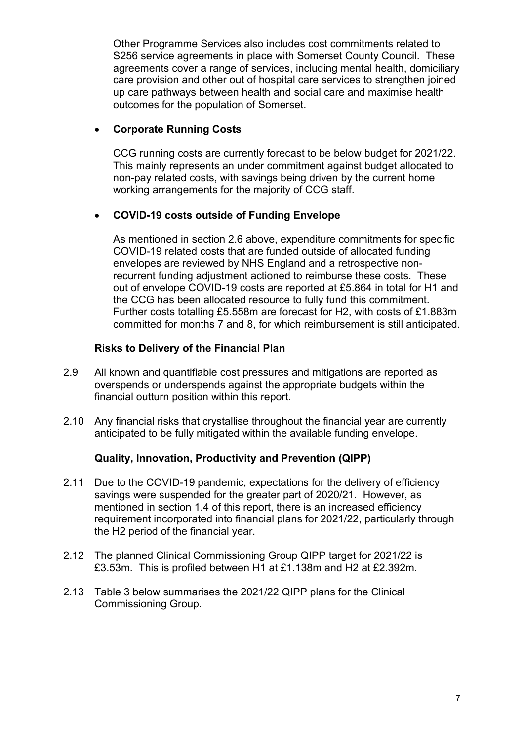Other Programme Services also includes cost commitments related to S256 service agreements in place with Somerset County Council. These agreements cover a range of services, including mental health, domiciliary care provision and other out of hospital care services to strengthen joined up care pathways between health and social care and maximise health outcomes for the population of Somerset.

### **Corporate Running Costs**

CCG running costs are currently forecast to be below budget for 2021/22. This mainly represents an under commitment against budget allocated to non-pay related costs, with savings being driven by the current home working arrangements for the majority of CCG staff.

#### **COVID-19 costs outside of Funding Envelope**

As mentioned in section 2.6 above, expenditure commitments for specific COVID-19 related costs that are funded outside of allocated funding envelopes are reviewed by NHS England and a retrospective nonrecurrent funding adjustment actioned to reimburse these costs. These out of envelope COVID-19 costs are reported at £5.864 in total for H1 and the CCG has been allocated resource to fully fund this commitment. Further costs totalling £5.558m are forecast for H2, with costs of £1.883m committed for months 7 and 8, for which reimbursement is still anticipated.

#### **Risks to Delivery of the Financial Plan**

- 2.9 All known and quantifiable cost pressures and mitigations are reported as overspends or underspends against the appropriate budgets within the financial outturn position within this report.
- 2.10 Any financial risks that crystallise throughout the financial year are currently anticipated to be fully mitigated within the available funding envelope.

#### **Quality, Innovation, Productivity and Prevention (QIPP)**

- 2.11 Due to the COVID-19 pandemic, expectations for the delivery of efficiency savings were suspended for the greater part of 2020/21. However, as mentioned in section 1.4 of this report, there is an increased efficiency requirement incorporated into financial plans for 2021/22, particularly through the H2 period of the financial year.
- 2.12 The planned Clinical Commissioning Group QIPP target for 2021/22 is £3.53m. This is profiled between H1 at £1.138m and H2 at £2.392m.
- 2.13 Table 3 below summarises the 2021/22 QIPP plans for the Clinical Commissioning Group.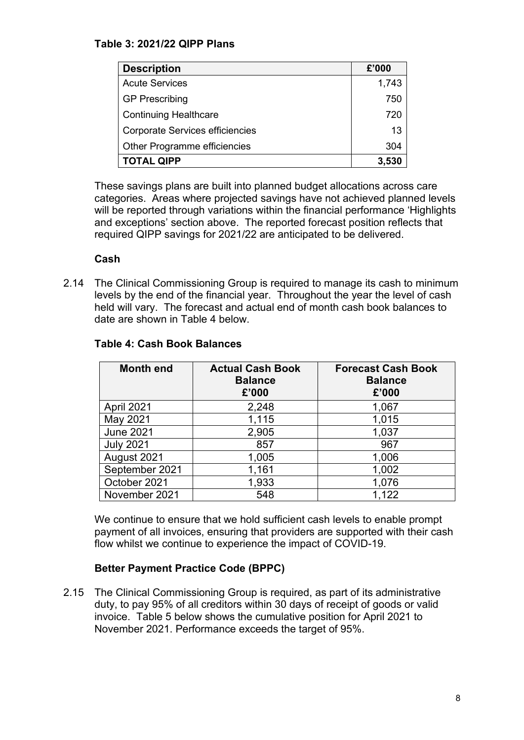# **Table 3: 2021/22 QIPP Plans**

| <b>Description</b>                     | £'000 |
|----------------------------------------|-------|
| <b>Acute Services</b>                  | 1,743 |
| <b>GP Prescribing</b>                  | 750   |
| <b>Continuing Healthcare</b>           | 720   |
| <b>Corporate Services efficiencies</b> | 13    |
| Other Programme efficiencies           | 304   |
| <b>TOTAL QIPP</b>                      | 3.530 |

These savings plans are built into planned budget allocations across care categories. Areas where projected savings have not achieved planned levels will be reported through variations within the financial performance 'Highlights and exceptions' section above. The reported forecast position reflects that required QIPP savings for 2021/22 are anticipated to be delivered.

#### **Cash**

2.14 The Clinical Commissioning Group is required to manage its cash to minimum levels by the end of the financial year. Throughout the year the level of cash held will vary. The forecast and actual end of month cash book balances to date are shown in Table 4 below.

| <b>Month end</b> | <b>Actual Cash Book</b><br><b>Balance</b><br>£'000 | <b>Forecast Cash Book</b><br><b>Balance</b><br>£'000 |
|------------------|----------------------------------------------------|------------------------------------------------------|
| April 2021       | 2,248                                              | 1,067                                                |
| May 2021         | 1,115                                              | 1,015                                                |
| <b>June 2021</b> | 2,905                                              | 1,037                                                |
| <b>July 2021</b> | 857                                                | 967                                                  |
| August 2021      | 1,005                                              | 1,006                                                |
| September 2021   | 1,161                                              | 1,002                                                |
| October 2021     | 1,933                                              | 1,076                                                |
| November 2021    | 548                                                | 1,122                                                |

#### **Table 4: Cash Book Balances**

We continue to ensure that we hold sufficient cash levels to enable prompt payment of all invoices, ensuring that providers are supported with their cash flow whilst we continue to experience the impact of COVID-19.

# **Better Payment Practice Code (BPPC)**

2.15 The Clinical Commissioning Group is required, as part of its administrative duty, to pay 95% of all creditors within 30 days of receipt of goods or valid invoice. Table 5 below shows the cumulative position for April 2021 to November 2021. Performance exceeds the target of 95%.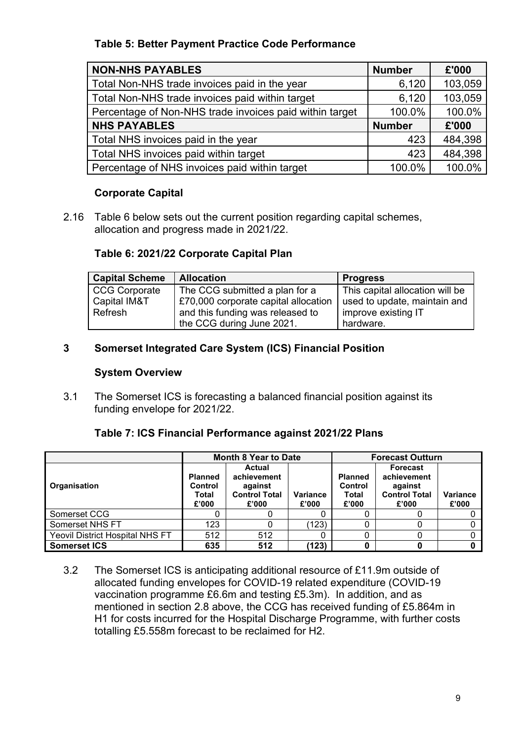# **Table 5: Better Payment Practice Code Performance**

| <b>NON-NHS PAYABLES</b>                                 | <b>Number</b> | £'000   |
|---------------------------------------------------------|---------------|---------|
| Total Non-NHS trade invoices paid in the year           | 6,120         | 103,059 |
| Total Non-NHS trade invoices paid within target         | 6,120         | 103,059 |
| Percentage of Non-NHS trade invoices paid within target | 100.0%        | 100.0%  |
| <b>NHS PAYABLES</b>                                     | <b>Number</b> | £'000   |
| Total NHS invoices paid in the year                     | 423           | 484,398 |
| Total NHS invoices paid within target                   | 423           | 484,398 |
| Percentage of NHS invoices paid within target           | 100.0%        | 100.0%  |

# **Corporate Capital**

2.16 Table 6 below sets out the current position regarding capital schemes, allocation and progress made in 2021/22.

# **Table 6: 2021/22 Corporate Capital Plan**

| <b>Capital Scheme</b> | <b>Allocation</b>                    | <b>Progress</b>                 |
|-----------------------|--------------------------------------|---------------------------------|
| <b>CCG Corporate</b>  | The CCG submitted a plan for a       | This capital allocation will be |
| Capital IM&T          | £70,000 corporate capital allocation | used to update, maintain and    |
| Refresh               | and this funding was released to     | improve existing IT             |
|                       | the CCG during June 2021.            | hardware.                       |

# **3 Somerset Integrated Care System (ICS) Financial Position**

### **System Overview**

3.1 The Somerset ICS is forecasting a balanced financial position against its funding envelope for 2021/22.

# **Table 7: ICS Financial Performance against 2021/22 Plans**

|                                        | <b>Month 8 Year to Date</b>                 |                                                                          |                          | <b>Forecast Outturn</b>                            |                                                                            |                          |
|----------------------------------------|---------------------------------------------|--------------------------------------------------------------------------|--------------------------|----------------------------------------------------|----------------------------------------------------------------------------|--------------------------|
| Organisation                           | <b>Planned</b><br>Control<br>Total<br>£'000 | <b>Actual</b><br>achievement<br>against<br><b>Control Total</b><br>£'000 | <b>Variance</b><br>£'000 | <b>Planned</b><br>Control<br><b>Total</b><br>£'000 | <b>Forecast</b><br>achievement<br>against<br><b>Control Total</b><br>£'000 | <b>Variance</b><br>£'000 |
| Somerset CCG                           |                                             |                                                                          |                          |                                                    |                                                                            |                          |
| Somerset NHS FT                        | 123                                         |                                                                          | (123)                    |                                                    |                                                                            |                          |
| <b>Yeovil District Hospital NHS FT</b> | 512                                         | 512                                                                      |                          |                                                    |                                                                            |                          |
| <b>Somerset ICS</b>                    | 635                                         | 512                                                                      | (123)                    |                                                    |                                                                            |                          |

3.2 The Somerset ICS is anticipating additional resource of £11.9m outside of allocated funding envelopes for COVID-19 related expenditure (COVID-19 vaccination programme £6.6m and testing £5.3m). In addition, and as mentioned in section 2.8 above, the CCG has received funding of £5.864m in H1 for costs incurred for the Hospital Discharge Programme, with further costs totalling £5.558m forecast to be reclaimed for H2.